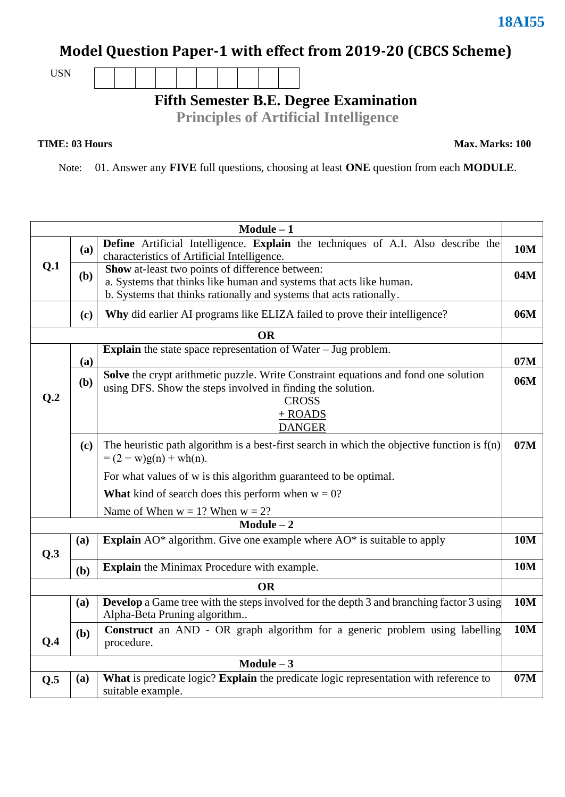## **Model Question Paper-1 with effect from 2019-20 (CBCS Scheme)**

USN

**Fifth Semester B.E. Degree Examination** 

**Principles of Artificial Intelligence**

**TIME: 03 Hours Max. Marks: 100**

Note: 01. Answer any **FIVE** full questions, choosing at least **ONE** question from each **MODULE**.

|                 |                                                                                   | $Module - 1$                                                                                                                                                                                  |            |  |  |  |  |  |  |
|-----------------|-----------------------------------------------------------------------------------|-----------------------------------------------------------------------------------------------------------------------------------------------------------------------------------------------|------------|--|--|--|--|--|--|
|                 | (a)                                                                               | Define Artificial Intelligence. Explain the techniques of A.I. Also describe the<br>characteristics of Artificial Intelligence.                                                               |            |  |  |  |  |  |  |
| Q.1             | <b>(b)</b>                                                                        | Show at-least two points of difference between:<br>a. Systems that thinks like human and systems that acts like human.<br>b. Systems that thinks rationally and systems that acts rationally. |            |  |  |  |  |  |  |
|                 | Why did earlier AI programs like ELIZA failed to prove their intelligence?<br>(c) |                                                                                                                                                                                               |            |  |  |  |  |  |  |
|                 |                                                                                   | <b>OR</b>                                                                                                                                                                                     |            |  |  |  |  |  |  |
|                 | (a)                                                                               | <b>Explain</b> the state space representation of Water $-$ Jug problem.                                                                                                                       | 07M        |  |  |  |  |  |  |
| Q <sub>.2</sub> | ( <b>b</b> )                                                                      | Solve the crypt arithmetic puzzle. Write Constraint equations and fond one solution<br>using DFS. Show the steps involved in finding the solution.<br><b>CROSS</b>                            | 06M        |  |  |  |  |  |  |
|                 |                                                                                   | $+$ ROADS<br><b>DANGER</b>                                                                                                                                                                    |            |  |  |  |  |  |  |
|                 | (c)                                                                               | The heuristic path algorithm is a best-first search in which the objective function is $f(n)$<br>$= (2 - w)g(n) + wh(n).$                                                                     | 07M        |  |  |  |  |  |  |
|                 |                                                                                   | For what values of w is this algorithm guaranteed to be optimal.                                                                                                                              |            |  |  |  |  |  |  |
|                 |                                                                                   | <b>What</b> kind of search does this perform when $w = 0$ ?                                                                                                                                   |            |  |  |  |  |  |  |
|                 |                                                                                   | Name of When $w = 1$ ? When $w = 2$ ?                                                                                                                                                         |            |  |  |  |  |  |  |
|                 |                                                                                   | $Module - 2$                                                                                                                                                                                  |            |  |  |  |  |  |  |
| Q.3             | (a)                                                                               | Explain AO* algorithm. Give one example where AO* is suitable to apply                                                                                                                        | <b>10M</b> |  |  |  |  |  |  |
|                 | (b)                                                                               | <b>Explain</b> the Minimax Procedure with example.                                                                                                                                            | <b>10M</b> |  |  |  |  |  |  |
|                 |                                                                                   | <b>OR</b>                                                                                                                                                                                     |            |  |  |  |  |  |  |
|                 | (a)                                                                               | <b>Develop</b> a Game tree with the steps involved for the depth 3 and branching factor 3 using<br>Alpha-Beta Pruning algorithm                                                               | <b>10M</b> |  |  |  |  |  |  |
| Q.4             | (b)                                                                               | Construct an AND - OR graph algorithm for a generic problem using labelling<br>procedure.                                                                                                     | <b>10M</b> |  |  |  |  |  |  |
| $Module - 3$    |                                                                                   |                                                                                                                                                                                               |            |  |  |  |  |  |  |
| Q.5             | (a)                                                                               | What is predicate logic? Explain the predicate logic representation with reference to<br>suitable example.                                                                                    | 07M        |  |  |  |  |  |  |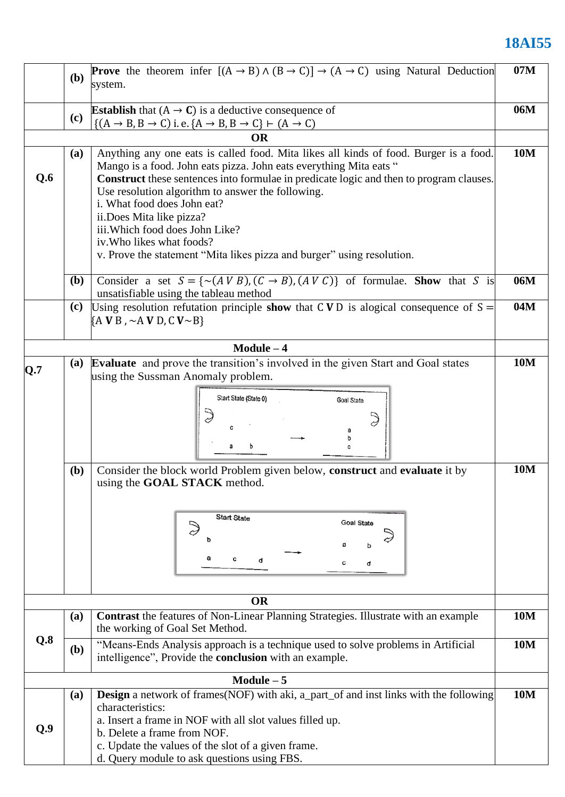## **18AI55**

|     | (b)                                                                                                                                                                                                                                                                                                                                                                                                                                                                                                                     | <b>Prove</b> the theorem infer $[(A \rightarrow B) \land (B \rightarrow C)] \rightarrow (A \rightarrow C)$ using Natural Deduction<br>system.                               |            |  |  |  |  |  |
|-----|-------------------------------------------------------------------------------------------------------------------------------------------------------------------------------------------------------------------------------------------------------------------------------------------------------------------------------------------------------------------------------------------------------------------------------------------------------------------------------------------------------------------------|-----------------------------------------------------------------------------------------------------------------------------------------------------------------------------|------------|--|--|--|--|--|
|     | (c)                                                                                                                                                                                                                                                                                                                                                                                                                                                                                                                     | <b>Establish</b> that $(A \rightarrow C)$ is a deductive consequence of                                                                                                     |            |  |  |  |  |  |
|     |                                                                                                                                                                                                                                                                                                                                                                                                                                                                                                                         | $\{(A \rightarrow B, B \rightarrow C) \text{ i.e. } \{A \rightarrow B, B \rightarrow C\} \vdash (A \rightarrow C)\}$<br><b>OR</b>                                           |            |  |  |  |  |  |
| Q.6 | Anything any one eats is called food. Mita likes all kinds of food. Burger is a food.<br>(a)<br>Mango is a food. John eats pizza. John eats everything Mita eats "<br>Construct these sentences into formulae in predicate logic and then to program clauses.<br>Use resolution algorithm to answer the following.<br>i. What food does John eat?<br>ii.Does Mita like pizza?<br>iii. Which food does John Like?<br>iv. Who likes what foods?<br>v. Prove the statement "Mita likes pizza and burger" using resolution. |                                                                                                                                                                             |            |  |  |  |  |  |
|     | <b>(b)</b>                                                                                                                                                                                                                                                                                                                                                                                                                                                                                                              | Consider a set $S = \{ \sim (A \ V B), (C \to B), (A \ V C) \}$ of formulae. Show that S is<br>unsatisfiable using the tableau method                                       |            |  |  |  |  |  |
|     | (c)<br>Using resolution refutation principle show that CVD is alogical consequence of $S =$<br>${A \text{V B}}$ , $\sim$ A V D, C V $\sim$ B}                                                                                                                                                                                                                                                                                                                                                                           |                                                                                                                                                                             |            |  |  |  |  |  |
|     |                                                                                                                                                                                                                                                                                                                                                                                                                                                                                                                         | $Module - 4$                                                                                                                                                                |            |  |  |  |  |  |
| Q.7 | (a)                                                                                                                                                                                                                                                                                                                                                                                                                                                                                                                     | Evaluate and prove the transition's involved in the given Start and Goal states<br>using the Sussman Anomaly problem.<br>Start State (State 0)<br><b>Goal State</b>         | <b>10M</b> |  |  |  |  |  |
|     | <b>(b)</b>                                                                                                                                                                                                                                                                                                                                                                                                                                                                                                              | Consider the block world Problem given below, construct and evaluate it by<br>using the <b>GOAL STACK</b> method.<br><b>Start State</b><br><b>Goal State</b><br>с<br>с<br>d | <b>10M</b> |  |  |  |  |  |
|     |                                                                                                                                                                                                                                                                                                                                                                                                                                                                                                                         | <b>OR</b>                                                                                                                                                                   |            |  |  |  |  |  |
|     | (a)                                                                                                                                                                                                                                                                                                                                                                                                                                                                                                                     | <b>Contrast</b> the features of Non-Linear Planning Strategies. Illustrate with an example<br>the working of Goal Set Method.                                               |            |  |  |  |  |  |
| Q.8 | (b)                                                                                                                                                                                                                                                                                                                                                                                                                                                                                                                     | "Means-Ends Analysis approach is a technique used to solve problems in Artificial<br>intelligence", Provide the <b>conclusion</b> with an example.                          |            |  |  |  |  |  |
|     |                                                                                                                                                                                                                                                                                                                                                                                                                                                                                                                         | $Module - 5$                                                                                                                                                                |            |  |  |  |  |  |
| Q.9 | <b>Design</b> a network of frames(NOF) with aki, a_part_of and inst links with the following<br>(a)<br>characteristics:<br>a. Insert a frame in NOF with all slot values filled up.<br>b. Delete a frame from NOF.<br>c. Update the values of the slot of a given frame.<br>d. Query module to ask questions using FBS.                                                                                                                                                                                                 |                                                                                                                                                                             |            |  |  |  |  |  |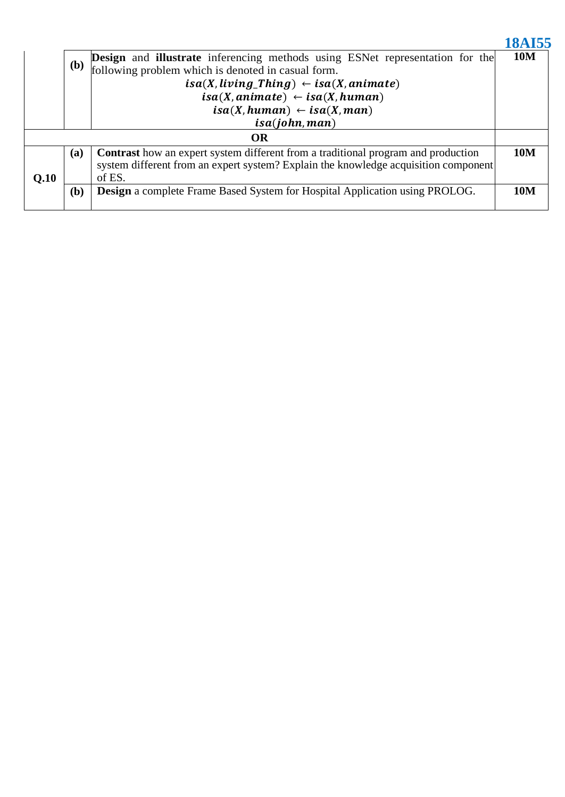|                                                     |              |                                                                                          | <b>18AI55</b> |  |  |  |  |
|-----------------------------------------------------|--------------|------------------------------------------------------------------------------------------|---------------|--|--|--|--|
|                                                     | ( <b>b</b> ) | <b>Design and illustrate</b> inferencing methods using ESNet representation for the      | <b>10M</b>    |  |  |  |  |
|                                                     |              | following problem which is denoted in casual form.                                       |               |  |  |  |  |
| $isa(X, living\_Things) \leftarrow isa(X, animate)$ |              |                                                                                          |               |  |  |  |  |
| $isa(X, animate) \leftarrow isa(X, human)$          |              |                                                                                          |               |  |  |  |  |
|                                                     |              | $isa(X, human) \leftarrow isa(X, man)$                                                   |               |  |  |  |  |
|                                                     |              | isa(John, man)                                                                           |               |  |  |  |  |
|                                                     |              | <b>OR</b>                                                                                |               |  |  |  |  |
|                                                     | <b>(a)</b>   | <b>Contrast</b> how an expert system different from a traditional program and production | <b>10M</b>    |  |  |  |  |
|                                                     |              | system different from an expert system? Explain the knowledge acquisition component      |               |  |  |  |  |
| Q.10                                                |              | of ES.                                                                                   |               |  |  |  |  |
|                                                     | ( <b>b</b> ) | <b>Design</b> a complete Frame Based System for Hospital Application using PROLOG.       | <b>10M</b>    |  |  |  |  |
|                                                     |              |                                                                                          |               |  |  |  |  |